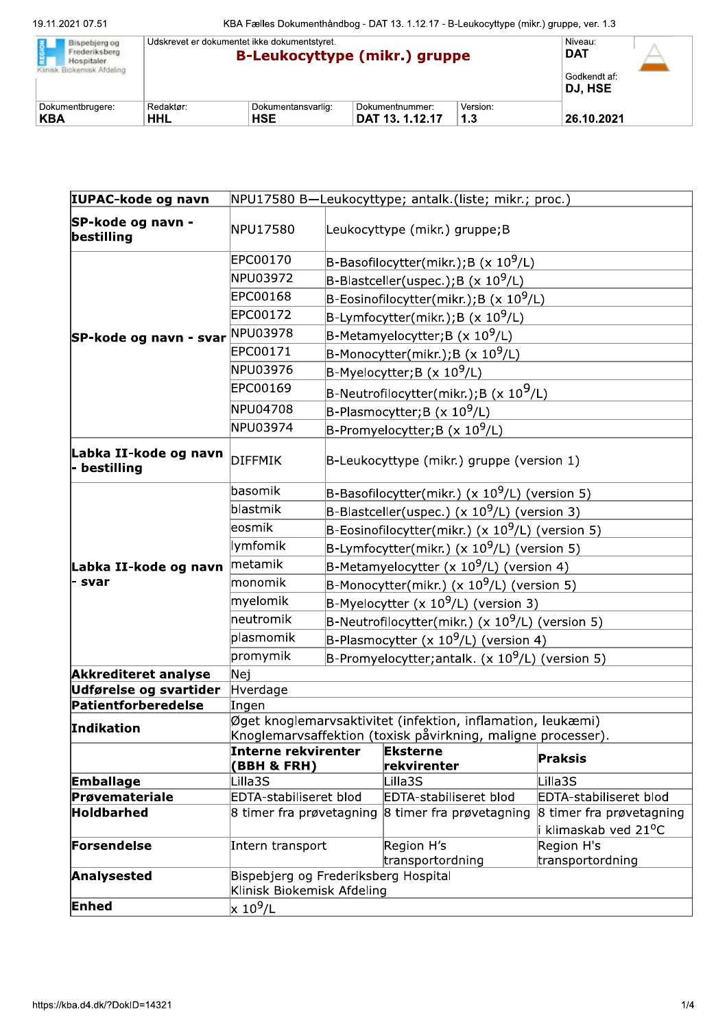| 19.11.2021 07.51<br>Bispebjerg og<br>REGION<br>Frederiksberg<br>Hospitaler | KBA Fælles Dokumenthåndbog - DAT 13. 1.12.17 - B-Leukocyttype (mikr.) gruppe, ver. 1.3<br>Udskrevet er dokumentet ikke dokumentstyret.<br><b>B-Leukocyttype (mikr.) gruppe</b> |                                  |                                    |                 | Niveau:<br><b>DAT</b>   |
|----------------------------------------------------------------------------|--------------------------------------------------------------------------------------------------------------------------------------------------------------------------------|----------------------------------|------------------------------------|-----------------|-------------------------|
| Klinisk Biokemisk Afdeling                                                 |                                                                                                                                                                                |                                  |                                    |                 | Godkendt af:<br>DJ, HSE |
| Dokumentbrugere:<br><b>KBA</b>                                             | Redaktør:<br><b>HHL</b>                                                                                                                                                        | Dokumentansvarlig:<br><b>HSE</b> | Dokumentnummer:<br>DAT 13. 1.12.17 | Version:<br>1.3 | 26.10.2021              |

| IUPAC-kode og navn                    |                                                                                                                             |                                                     | NPU17580 B-Leukocyttype; antalk.(liste; mikr.; proc.)                                           |  |                                                               |  |
|---------------------------------------|-----------------------------------------------------------------------------------------------------------------------------|-----------------------------------------------------|-------------------------------------------------------------------------------------------------|--|---------------------------------------------------------------|--|
| SP-kode og navn -<br>bestilling       | NPU17580                                                                                                                    | Leukocyttype (mikr.) gruppe; B                      |                                                                                                 |  |                                                               |  |
|                                       | EPC00170<br>B-Basofilocytter(mikr.); B (x $10^9$ /L)                                                                        |                                                     |                                                                                                 |  |                                                               |  |
|                                       | NPU03972                                                                                                                    | $B$ -Blastceller(uspec.); B (x 10 <sup>9</sup> /L)  |                                                                                                 |  |                                                               |  |
|                                       | EPC00168                                                                                                                    | B-Eosinofilocytter(mikr.); B (x $10^9$ /L)          |                                                                                                 |  |                                                               |  |
|                                       | EPC00172                                                                                                                    | B-Lymfocytter(mikr.);B (x 10 <sup>9</sup> /L)       |                                                                                                 |  |                                                               |  |
| SP-kode og navn - svar                | NPU03978                                                                                                                    | B-Metamyelocytter; B $(x 10^9/L)$                   |                                                                                                 |  |                                                               |  |
|                                       | EPC00171                                                                                                                    |                                                     |                                                                                                 |  |                                                               |  |
|                                       | NPU03976                                                                                                                    | B-Monocytter(mikr.);B (x $10^9$ /L)                 |                                                                                                 |  |                                                               |  |
|                                       | <b>EPC00169</b>                                                                                                             |                                                     | $B$ -Myelocytter;B (x 10 <sup>9</sup> /L)<br>B-Neutrofilocytter(mikr.);B (x 10 <sup>9</sup> /L) |  |                                                               |  |
|                                       | NPU04708                                                                                                                    |                                                     |                                                                                                 |  |                                                               |  |
|                                       | NPU03974                                                                                                                    |                                                     | B-Plasmocytter;B (x 10 <sup>9</sup> /L)                                                         |  |                                                               |  |
|                                       |                                                                                                                             | B-Promyelocytter; B (x $10^9$ /L)                   |                                                                                                 |  |                                                               |  |
| Labka II-kode og navn<br>- bestilling | <b>DIFFMIK</b>                                                                                                              | $B$ -Leukocyttype (mikr.) gruppe (version 1)        |                                                                                                 |  |                                                               |  |
|                                       | basomik                                                                                                                     | B-Basofilocytter(mikr.) (x $10^9$ /L) (version 5)   |                                                                                                 |  |                                                               |  |
|                                       | blastmik<br>B-Blastceller(uspec.) ( $\times$ 10 <sup>9</sup> /L) (version 3)                                                |                                                     |                                                                                                 |  |                                                               |  |
|                                       | leosmik<br>B-Eosinofilocytter(mikr.) (x $10^9$ /L) (version 5)                                                              |                                                     |                                                                                                 |  |                                                               |  |
|                                       | lymfomik                                                                                                                    | B-Lymfocytter(mikr.) (x $10^9$ /L) (version 5)      |                                                                                                 |  |                                                               |  |
| Labka II-kode og navn <b>metamik</b>  | B-Metamyelocytter (x $10^9$ /L) (version 4)                                                                                 |                                                     |                                                                                                 |  |                                                               |  |
| - svar                                | monomik<br>B-Monocytter(mikr.) (x $10^9$ /L) (version 5)                                                                    |                                                     |                                                                                                 |  |                                                               |  |
|                                       | myelomik                                                                                                                    | B-Myelocytter (x $10^9$ /L) (version 3)             |                                                                                                 |  |                                                               |  |
|                                       | neutromik                                                                                                                   | B-Neutrofilocytter(mikr.) (x $10^9$ /L) (version 5) |                                                                                                 |  |                                                               |  |
|                                       | plasmomik                                                                                                                   | B-Plasmocytter (x $10^9$ /L) (version 4)            |                                                                                                 |  |                                                               |  |
|                                       | promymik                                                                                                                    | B-Promyelocytter; antalk. $(x 10^9/L)$ (version 5)  |                                                                                                 |  |                                                               |  |
| <b>Akkrediteret analyse</b>           | Nej                                                                                                                         |                                                     |                                                                                                 |  |                                                               |  |
| Udførelse og svartider                | Hverdage                                                                                                                    |                                                     |                                                                                                 |  |                                                               |  |
| Patientforberedelse                   | Ingen                                                                                                                       |                                                     |                                                                                                 |  |                                                               |  |
| Indikation                            | Øget knoglemarvsaktivitet (infektion, inflamation, leukæmi)<br>Knoglemarvsaffektion (toxisk påvirkning, maligne processer). |                                                     |                                                                                                 |  |                                                               |  |
|                                       | Interne rekvirenter                                                                                                         |                                                     | <b>Eksterne</b>                                                                                 |  |                                                               |  |
|                                       | (BBH & FRH)                                                                                                                 |                                                     | rekvirenter                                                                                     |  | <b>Praksis</b>                                                |  |
| <b>Emballage</b>                      | Lilla3S                                                                                                                     |                                                     | Lilla3S                                                                                         |  | Lilla3S                                                       |  |
| Prøvemateriale                        | EDTA-stabiliseret blod                                                                                                      |                                                     | EDTA-stabiliseret blod                                                                          |  | EDTA-stabiliseret blod                                        |  |
| Holdbarhed                            | 8 timer fra prøvetagning                                                                                                    |                                                     | 8 timer fra prøvetagning                                                                        |  | 8 timer fra prøvetagning<br>i klimaskab ved 21 <sup>o</sup> C |  |
| Forsendelse                           | Intern transport                                                                                                            |                                                     | Region H's                                                                                      |  | Region H's                                                    |  |
|                                       |                                                                                                                             |                                                     | transportordning                                                                                |  | transportordning                                              |  |
|                                       | Bispebjerg og Frederiksberg Hospital<br>Klinisk Biokemisk Afdeling                                                          |                                                     |                                                                                                 |  |                                                               |  |
| Analysested                           |                                                                                                                             |                                                     |                                                                                                 |  |                                                               |  |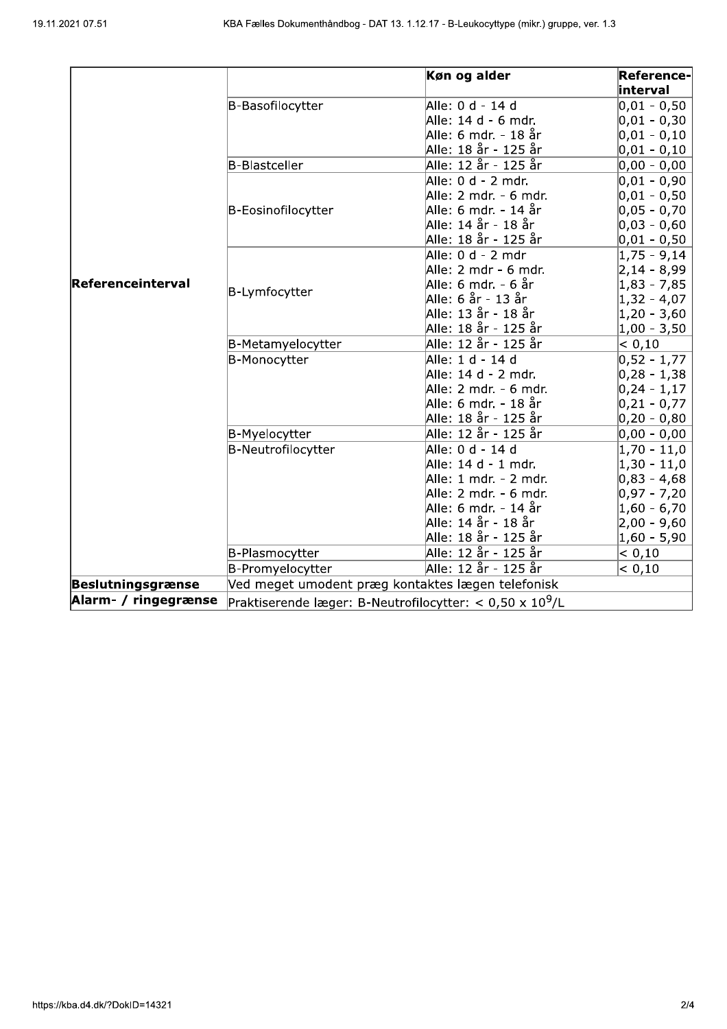| 021 07.51            |                      | KBA Fælles Dokumenthåndbog - DAT 13. 1.12.17 - B-Leukocyttype (mikr.) gruppe, ver. 1.3 |                 |
|----------------------|----------------------|----------------------------------------------------------------------------------------|-----------------|
|                      |                      |                                                                                        |                 |
|                      |                      |                                                                                        |                 |
|                      |                      | Køn og alder                                                                           | Reference-      |
|                      |                      |                                                                                        | interval        |
|                      | B-Basofilocytter     | Alle: 0 d - 14 d                                                                       | $ 0,01 - 0,50$  |
|                      |                      | Alle: 14 d - 6 mdr.                                                                    | $ 0,01 - 0,30$  |
|                      |                      | Alle: 6 mdr. - 18 år                                                                   | $ 0,01 - 0,10$  |
|                      |                      | Alle: 18 år - 125 år                                                                   | $ 0,01 - 0,10$  |
|                      | <b>B-Blastceller</b> | Alle: 12 år - 125 år                                                                   | $ 0,00 - 0,00 $ |
|                      |                      | Alle: 0 d - 2 mdr.                                                                     | $ 0,01 - 0,90$  |
|                      |                      | Alle: 2 mdr. - 6 mdr.                                                                  | $ 0,01 - 0,50$  |
|                      | B-Eosinofilocytter   | Alle: 6 mdr. - 14 år                                                                   | $ 0,05 - 0,70$  |
|                      |                      | Alle: 14 år - 18 år                                                                    | $ 0,03 - 0,60$  |
|                      |                      | Alle: 18 år - 125 år                                                                   | $ 0,01 - 0,50$  |
|                      |                      | Alle: 0 d - 2 mdr                                                                      | $ 1,75 - 9,14$  |
|                      |                      | Alle: 2 mdr - 6 mdr.                                                                   | $ 2,14 - 8,99$  |
| Referenceinterval    | B-Lymfocytter        | Alle: 6 mdr. - 6 år                                                                    | $ 1,83 - 7,85$  |
|                      |                      | Alle: 6 år - 13 år                                                                     | $ 1,32 - 4,07$  |
|                      |                      | Alle: 13 år - 18 år                                                                    | 1,20 - 3,60     |
|                      |                      | Alle: 18 år - 125 år                                                                   | $ 1,00 - 3,50$  |
|                      | B-Metamyelocytter    | Alle: 12 år - 125 år                                                                   | < 0,10          |
|                      | B-Monocytter         | Alle: 1 d - 14 d                                                                       | $0,52 - 1,77$   |
|                      |                      | Alle: 14 d - 2 mdr.                                                                    | $ 0,28 - 1,38$  |
|                      |                      | Alle: 2 mdr. - 6 mdr.                                                                  | $ 0,24 - 1,17$  |
|                      |                      | Alle: 6 mdr. - 18 år                                                                   | $ 0,21 - 0,77$  |
|                      |                      | Alle: 18 år - 125 år                                                                   | 0,20 - 0,80     |
|                      | B-Myelocytter        | Alle: 12 år - 125 år                                                                   | $ 0,00 - 0,00 $ |
|                      | B-Neutrofilocytter   | Alle: 0 d - 14 d                                                                       | $ 1,70 - 11,0$  |
|                      |                      | Alle: 14 d - 1 mdr.                                                                    | $ 1,30 - 11,0$  |
|                      |                      | Alle: 1 mdr. - 2 mdr.                                                                  | $ 0,83 - 4,68 $ |
|                      |                      | Alle: 2 mdr. - 6 mdr.                                                                  | $ 0,97 - 7,20$  |
|                      |                      | Alle: 6 mdr. - 14 år                                                                   | $ 1,60 - 6,70$  |
|                      |                      | Alle: 14 år - 18 år                                                                    | 2,00 - 9,60     |
|                      |                      | Alle: 18 år - 125 år                                                                   | $1,60 - 5,90$   |
|                      | B-Plasmocytter       | Alle: 12 år - 125 år                                                                   | < 0,10          |
|                      | B-Promyelocytter     | Alle: 12 år - 125 år                                                                   | < 0,10          |
| Beslutningsgrænse    |                      | Ved meget umodent præg kontaktes lægen telefonisk                                      |                 |
| Alarm- / ringegrænse |                      |                                                                                        |                 |
|                      |                      | Praktiserende læger: B-Neutrofilocytter: < 0,50 x $10^9$ /L                            |                 |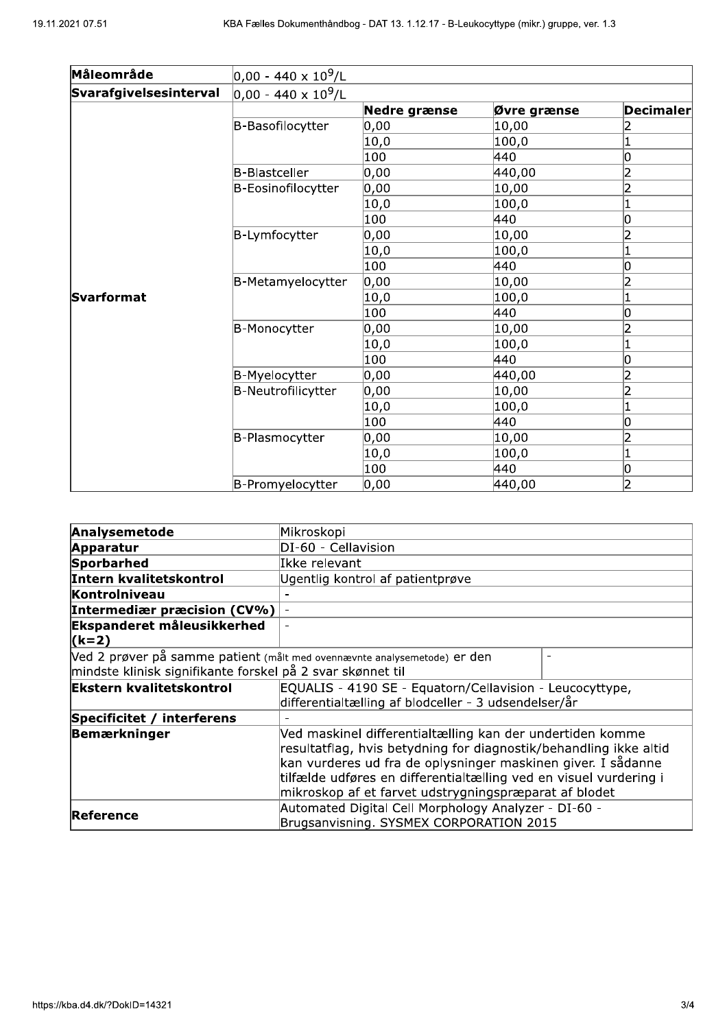| 21 07.51               | KBA Fælles Dokumenthåndbog - DAT 13. 1.12.17 - B-Leukocyttype (mikr.) gruppe, ver. 1.3 |                    |             |                         |
|------------------------|----------------------------------------------------------------------------------------|--------------------|-------------|-------------------------|
| Måleområde             | 0,00 - 440 x 10 <sup>9</sup> /L                                                        |                    |             |                         |
|                        |                                                                                        |                    |             |                         |
| Svarafgivelsesinterval | $ 0,00 - 440 \times 10^9$ /L                                                           | Nedre grænse       | Øvre grænse | <b>Decimaler</b>        |
|                        | B-Basofilocytter                                                                       | 0,00               | 10,00       | 2                       |
|                        |                                                                                        | 10,0               | 100,0       | $\overline{\mathbf{1}}$ |
|                        |                                                                                        | 100                | 440         | 0                       |
|                        | <b>B-Blastceller</b>                                                                   | 0,00               | 440,00      | $\overline{2}$          |
|                        | B-Eosinofilocytter                                                                     | 0,00               | 10,00       | $\overline{2}$          |
|                        |                                                                                        | 10,0               | 100,0       | $\overline{\mathbf{1}}$ |
|                        |                                                                                        | 100                | 440         | 0                       |
|                        | B-Lymfocytter                                                                          | 0,00               | 10,00       | $\overline{2}$          |
|                        |                                                                                        | 10,0               | 100,0       | $\vert$ 1               |
|                        |                                                                                        | 100                | 440         | O                       |
|                        | B-Metamyelocytter                                                                      | 0,00               | 10,00       | 2                       |
| Svarformat             |                                                                                        | 10,0               | 100,0       | $\vert$ 1               |
|                        |                                                                                        | 100                | 440         | 0                       |
|                        | B-Monocytter                                                                           | $\overline{0}$ ,00 | 10,00       | $\overline{2}$          |
|                        |                                                                                        | 10,0               | 100,0       | $\overline{\mathbf{1}}$ |
|                        |                                                                                        | $\overline{100}$   | 440         | $\overline{0}$          |
|                        | B-Myelocytter                                                                          | 0,00               | 440,00      | $\overline{2}$          |
|                        | B-Neutrofilicytter                                                                     | 0,00               | 10,00       | $\overline{2}$          |
|                        |                                                                                        | 10,0               | 100, 0      | $\vert$ 1               |
|                        |                                                                                        | 100                | 440         | 0                       |
|                        | B-Plasmocytter                                                                         | 0,00               | 10,00       | $\overline{2}$          |
|                        |                                                                                        | 10,0               | 100,0       | $\overline{\mathbf{1}}$ |
|                        |                                                                                        | 100                | 440         | O                       |
|                        | B-Promyelocytter                                                                       | 0,00               | 440,00      | $\overline{2}$          |

| Analysemetode                                                                               | Mikroskopi                                                                                                                     |  |  |  |  |
|---------------------------------------------------------------------------------------------|--------------------------------------------------------------------------------------------------------------------------------|--|--|--|--|
| <b>Apparatur</b>                                                                            | DI-60 - Cellavision                                                                                                            |  |  |  |  |
| Sporbarhed                                                                                  | Ikke relevant                                                                                                                  |  |  |  |  |
| Intern kvalitetskontrol                                                                     | Ugentlig kontrol af patientprøve                                                                                               |  |  |  |  |
| Kontrolniveau                                                                               |                                                                                                                                |  |  |  |  |
| Intermediær præcision (CV%)                                                                 |                                                                                                                                |  |  |  |  |
| Ekspanderet måleusikkerhed                                                                  |                                                                                                                                |  |  |  |  |
| $(k=2)$                                                                                     |                                                                                                                                |  |  |  |  |
|                                                                                             | Ved 2 prøver på samme patient (målt med ovennævnte analysemetode) er den                                                       |  |  |  |  |
| mindste klinisk signifikante forskel på 2 svar skønnet til                                  |                                                                                                                                |  |  |  |  |
| <b>Ekstern kvalitetskontrol</b><br>EQUALIS - 4190 SE - Equatorn/Cellavision - Leucocyttype, |                                                                                                                                |  |  |  |  |
|                                                                                             | differentialtælling af blodceller - 3 udsendelser/år                                                                           |  |  |  |  |
| Specificitet / interferens                                                                  |                                                                                                                                |  |  |  |  |
| Bemærkninger                                                                                | Ved maskinel differentialtælling kan der undertiden komme<br>resultatflag, hvis betydning for diagnostik/behandling ikke altid |  |  |  |  |
|                                                                                             | kan vurderes ud fra de oplysninger maskinen giver. I sådanne                                                                   |  |  |  |  |
|                                                                                             | tilfælde udføres en differentialtælling ved en visuel vurdering i                                                              |  |  |  |  |
|                                                                                             | mikroskop af et farvet udstrygningspræparat af blodet                                                                          |  |  |  |  |
| Reference                                                                                   | Automated Digital Cell Morphology Analyzer - DI-60 -                                                                           |  |  |  |  |
|                                                                                             | Brugsanvisning. SYSMEX CORPORATION 2015                                                                                        |  |  |  |  |